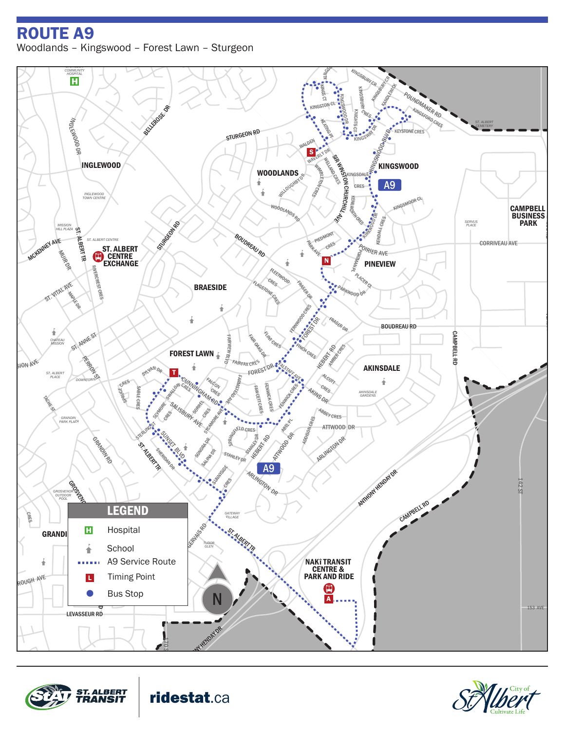## erin Land<br>Erin Ridge Roman Ridge Roman Ridge Roman Ridge Roman Ridge Roman Ridge Roman Ridge Roman Ridge Roman Ridge Rom<br>Erin Ridge Roman Ridge Roman Ridge Roman Ridge Roman Ridge Roman Ridge Roman Ridge Roman Ridge Roman iwn *CITADEL CARE CENTRE* Woodlands – Kingswood – Forest Lawn – SturgeonROUTE A9